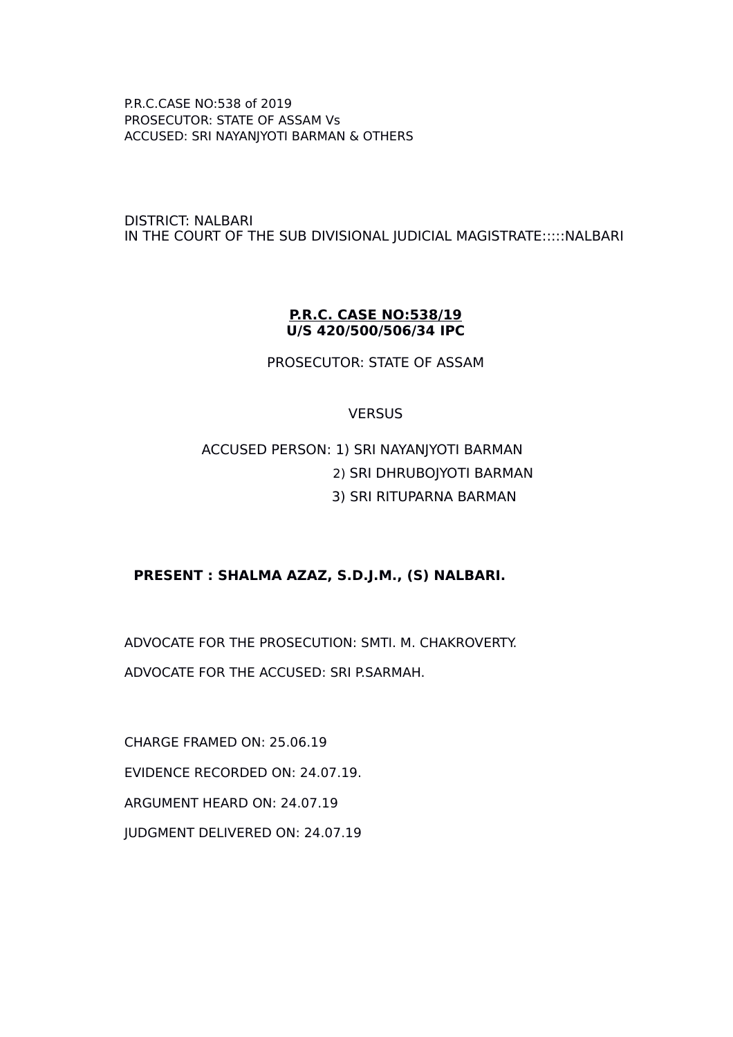DISTRICT: NALBARI IN THE COURT OF THE SUB DIVISIONAL JUDICIAL MAGISTRATE:::::NALBARI

#### **P.R.C. CASE NO:538/19 U/S 420/500/506/34 IPC**

PROSECUTOR: STATE OF ASSAM

#### **VERSUS**

# ACCUSED PERSON: 1) SRI NAYANJYOTI BARMAN 2) SRI DHRUBOJYOTI BARMAN 3) SRI RITUPARNA BARMAN

## **PRESENT : SHALMA AZAZ, S.D.J.M., (S) NALBARI.**

ADVOCATE FOR THE PROSECUTION: SMTI. M. CHAKROVERTY. ADVOCATE FOR THE ACCUSED: SRI P.SARMAH.

CHARGE FRAMED ON: 25.06.19 EVIDENCE RECORDED ON: 24.07.19. ARGUMENT HEARD ON: 24.07.19 JUDGMENT DELIVERED ON: 24.07.19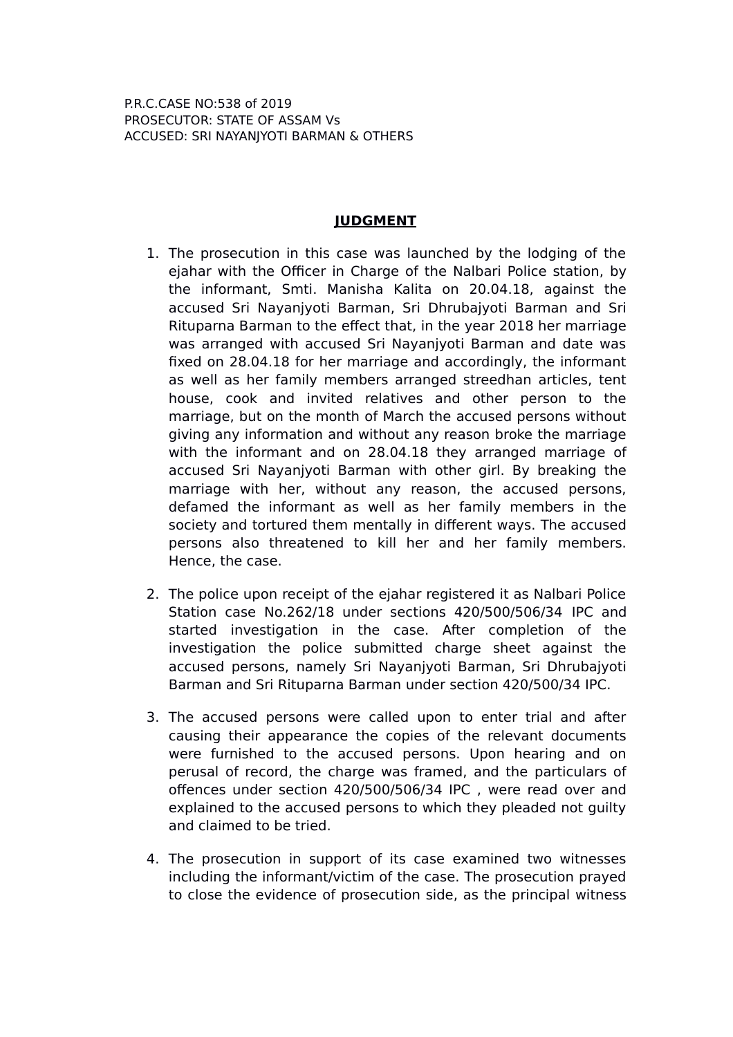# **JUDGMENT**

- 1. The prosecution in this case was launched by the lodging of the ejahar with the Officer in Charge of the Nalbari Police station, by the informant, Smti. Manisha Kalita on 20.04.18, against the accused Sri Nayanjyoti Barman, Sri Dhrubajyoti Barman and Sri Rituparna Barman to the effect that, in the year 2018 her marriage was arranged with accused Sri Nayanjyoti Barman and date was fixed on 28.04.18 for her marriage and accordingly, the informant as well as her family members arranged streedhan articles, tent house, cook and invited relatives and other person to the marriage, but on the month of March the accused persons without giving any information and without any reason broke the marriage with the informant and on 28.04.18 they arranged marriage of accused Sri Nayanjyoti Barman with other girl. By breaking the marriage with her, without any reason, the accused persons, defamed the informant as well as her family members in the society and tortured them mentally in different ways. The accused persons also threatened to kill her and her family members. Hence, the case.
- 2. The police upon receipt of the ejahar registered it as Nalbari Police Station case No.262/18 under sections 420/500/506/34 IPC and started investigation in the case. After completion of the investigation the police submitted charge sheet against the accused persons, namely Sri Nayanjyoti Barman, Sri Dhrubajyoti Barman and Sri Rituparna Barman under section 420/500/34 IPC.
- 3. The accused persons were called upon to enter trial and after causing their appearance the copies of the relevant documents were furnished to the accused persons. Upon hearing and on perusal of record, the charge was framed, and the particulars of offences under section 420/500/506/34 IPC , were read over and explained to the accused persons to which they pleaded not guilty and claimed to be tried.
- 4. The prosecution in support of its case examined two witnesses including the informant/victim of the case. The prosecution prayed to close the evidence of prosecution side, as the principal witness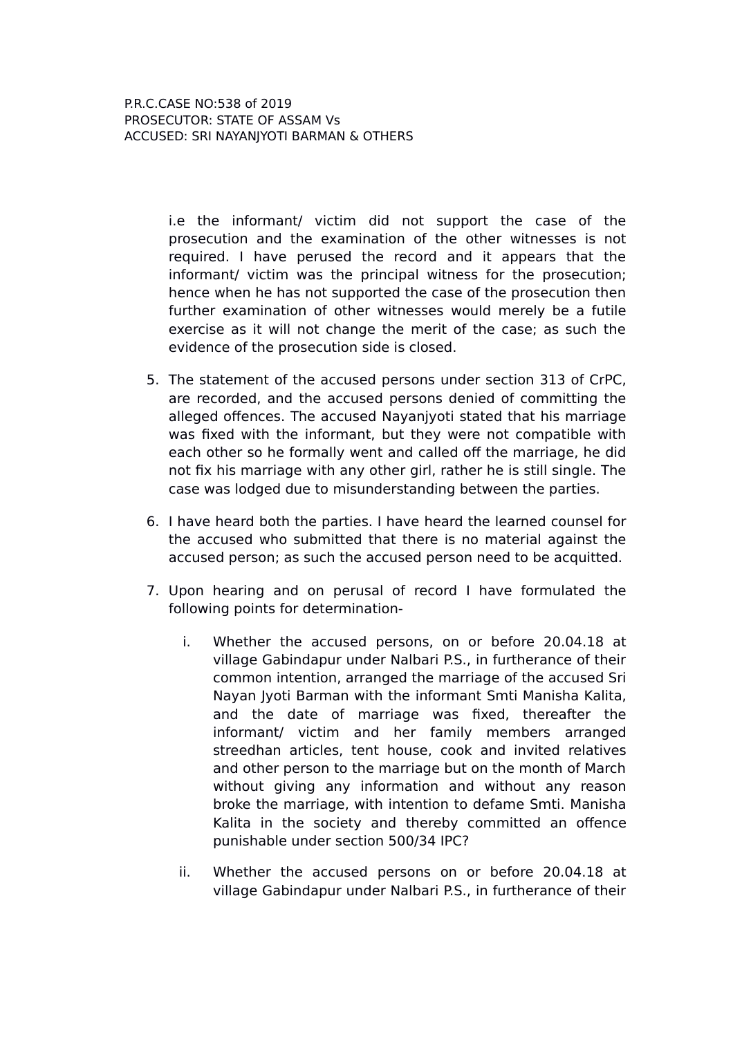> i.e the informant/ victim did not support the case of the prosecution and the examination of the other witnesses is not required. I have perused the record and it appears that the informant/ victim was the principal witness for the prosecution; hence when he has not supported the case of the prosecution then further examination of other witnesses would merely be a futile exercise as it will not change the merit of the case; as such the evidence of the prosecution side is closed.

- 5. The statement of the accused persons under section 313 of CrPC, are recorded, and the accused persons denied of committing the alleged offences. The accused Nayanjyoti stated that his marriage was fixed with the informant, but they were not compatible with each other so he formally went and called off the marriage, he did not fix his marriage with any other girl, rather he is still single. The case was lodged due to misunderstanding between the parties.
- 6. I have heard both the parties. I have heard the learned counsel for the accused who submitted that there is no material against the accused person; as such the accused person need to be acquitted.
- 7. Upon hearing and on perusal of record I have formulated the following points for determination
	- i. Whether the accused persons, on or before 20.04.18 at village Gabindapur under Nalbari P.S., in furtherance of their common intention, arranged the marriage of the accused Sri Nayan Jyoti Barman with the informant Smti Manisha Kalita, and the date of marriage was fixed, thereafter the informant/ victim and her family members arranged streedhan articles, tent house, cook and invited relatives and other person to the marriage but on the month of March without giving any information and without any reason broke the marriage, with intention to defame Smti. Manisha Kalita in the society and thereby committed an offence punishable under section 500/34 IPC?
	- ii. Whether the accused persons on or before 20.04.18 at village Gabindapur under Nalbari P.S., in furtherance of their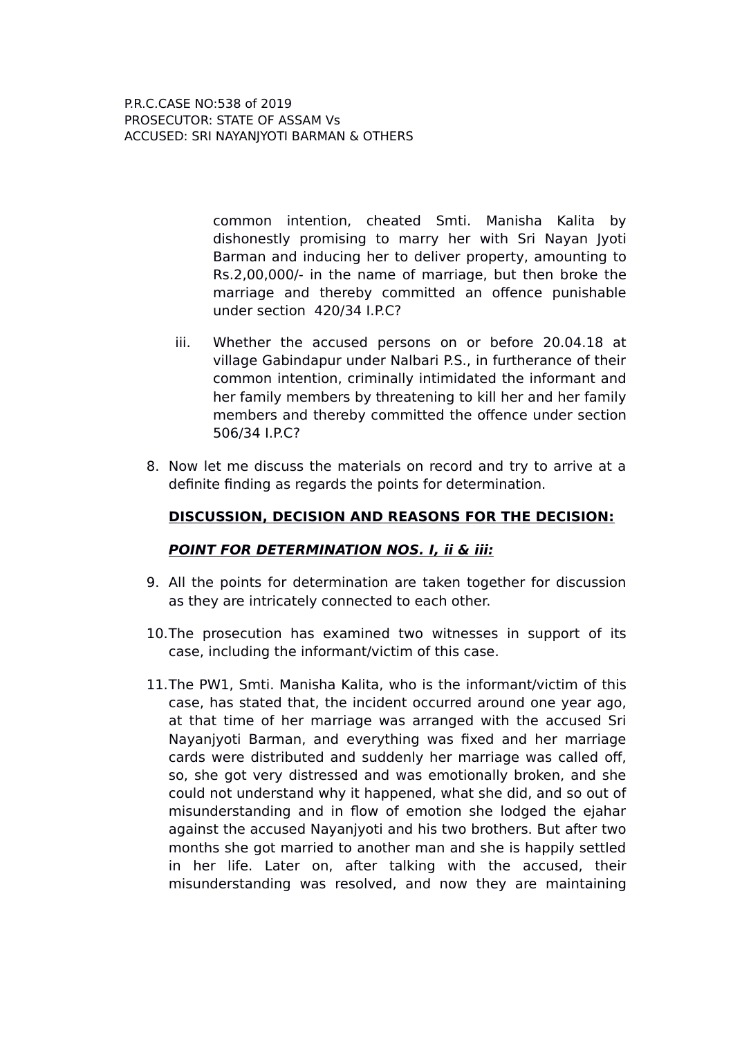> common intention, cheated Smti. Manisha Kalita by dishonestly promising to marry her with Sri Nayan Jyoti Barman and inducing her to deliver property, amounting to Rs.2,00,000/- in the name of marriage, but then broke the marriage and thereby committed an offence punishable under section 420/34 I.P.C?

- iii. Whether the accused persons on or before 20.04.18 at village Gabindapur under Nalbari P.S., in furtherance of their common intention, criminally intimidated the informant and her family members by threatening to kill her and her family members and thereby committed the offence under section 506/34 I.P.C?
- 8. Now let me discuss the materials on record and try to arrive at a definite finding as regards the points for determination.

## **DISCUSSION, DECISION AND REASONS FOR THE DECISION:**

#### **POINT FOR DETERMINATION NOS. I, ii & iii:**

- 9. All the points for determination are taken together for discussion as they are intricately connected to each other.
- 10.The prosecution has examined two witnesses in support of its case, including the informant/victim of this case.
- 11.The PW1, Smti. Manisha Kalita, who is the informant/victim of this case, has stated that, the incident occurred around one year ago, at that time of her marriage was arranged with the accused Sri Nayanjyoti Barman, and everything was fixed and her marriage cards were distributed and suddenly her marriage was called off, so, she got very distressed and was emotionally broken, and she could not understand why it happened, what she did, and so out of misunderstanding and in flow of emotion she lodged the ejahar against the accused Nayanjyoti and his two brothers. But after two months she got married to another man and she is happily settled in her life. Later on, after talking with the accused, their misunderstanding was resolved, and now they are maintaining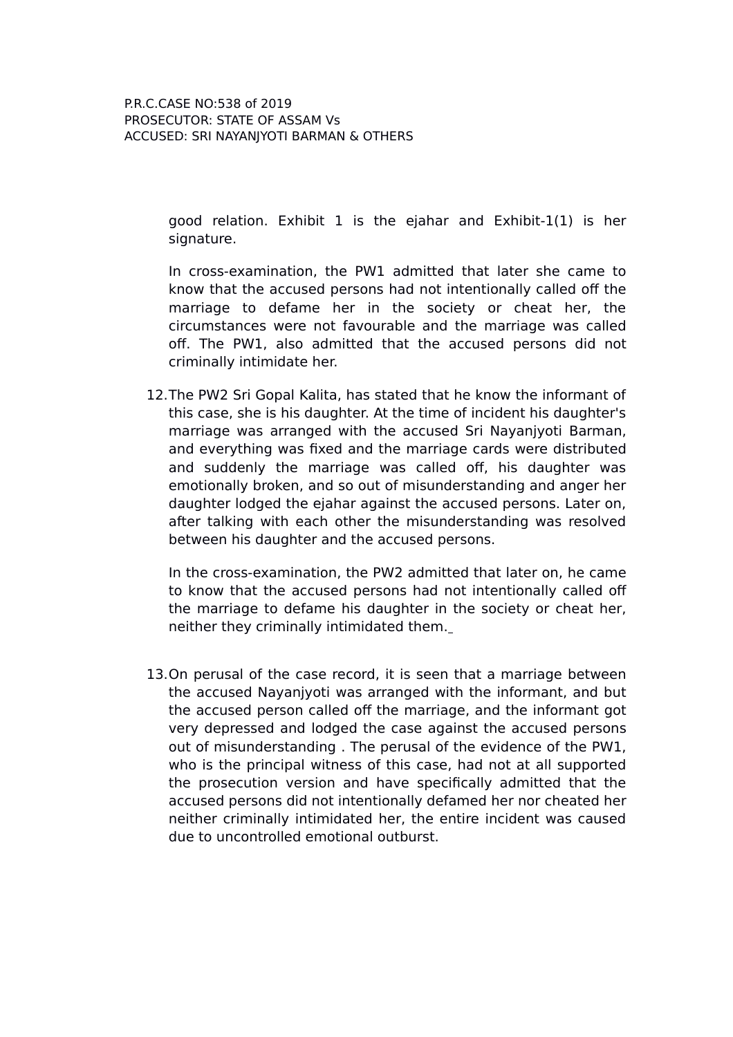good relation. Exhibit 1 is the ejahar and Exhibit-1(1) is her signature.

In cross-examination, the PW1 admitted that later she came to know that the accused persons had not intentionally called off the marriage to defame her in the society or cheat her, the circumstances were not favourable and the marriage was called off. The PW1, also admitted that the accused persons did not criminally intimidate her.

12.The PW2 Sri Gopal Kalita, has stated that he know the informant of this case, she is his daughter. At the time of incident his daughter's marriage was arranged with the accused Sri Nayanjyoti Barman, and everything was fixed and the marriage cards were distributed and suddenly the marriage was called off, his daughter was emotionally broken, and so out of misunderstanding and anger her daughter lodged the ejahar against the accused persons. Later on, after talking with each other the misunderstanding was resolved between his daughter and the accused persons.

In the cross-examination, the PW2 admitted that later on, he came to know that the accused persons had not intentionally called off the marriage to defame his daughter in the society or cheat her, neither they criminally intimidated them.

13.On perusal of the case record, it is seen that a marriage between the accused Nayanjyoti was arranged with the informant, and but the accused person called off the marriage, and the informant got very depressed and lodged the case against the accused persons out of misunderstanding . The perusal of the evidence of the PW1, who is the principal witness of this case, had not at all supported the prosecution version and have specifically admitted that the accused persons did not intentionally defamed her nor cheated her neither criminally intimidated her, the entire incident was caused due to uncontrolled emotional outburst.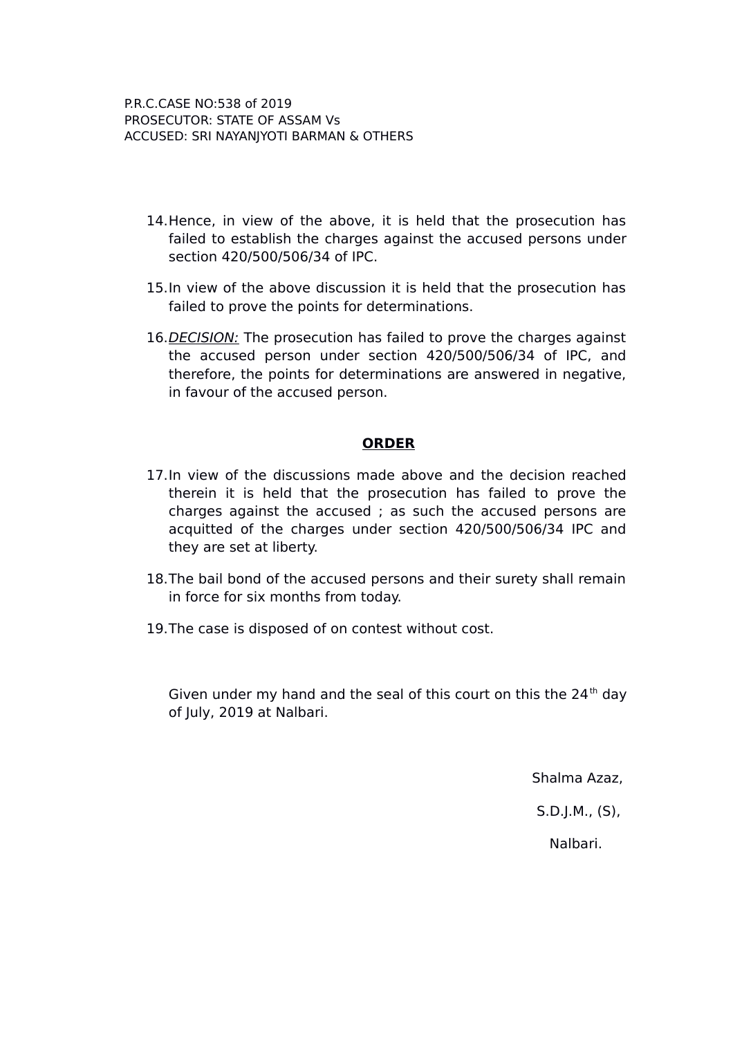- 14.Hence, in view of the above, it is held that the prosecution has failed to establish the charges against the accused persons under section 420/500/506/34 of IPC.
- 15.In view of the above discussion it is held that the prosecution has failed to prove the points for determinations.
- 16. DECISION: The prosecution has failed to prove the charges against the accused person under section 420/500/506/34 of IPC, and therefore, the points for determinations are answered in negative, in favour of the accused person.

#### **ORDER**

- 17.In view of the discussions made above and the decision reached therein it is held that the prosecution has failed to prove the charges against the accused ; as such the accused persons are acquitted of the charges under section 420/500/506/34 IPC and they are set at liberty.
- 18.The bail bond of the accused persons and their surety shall remain in force for six months from today.
- 19.The case is disposed of on contest without cost.

Given under my hand and the seal of this court on this the  $24<sup>th</sup>$  day of July, 2019 at Nalbari.

Shalma Azaz,

S.D.J.M., (S),

Nalbari.